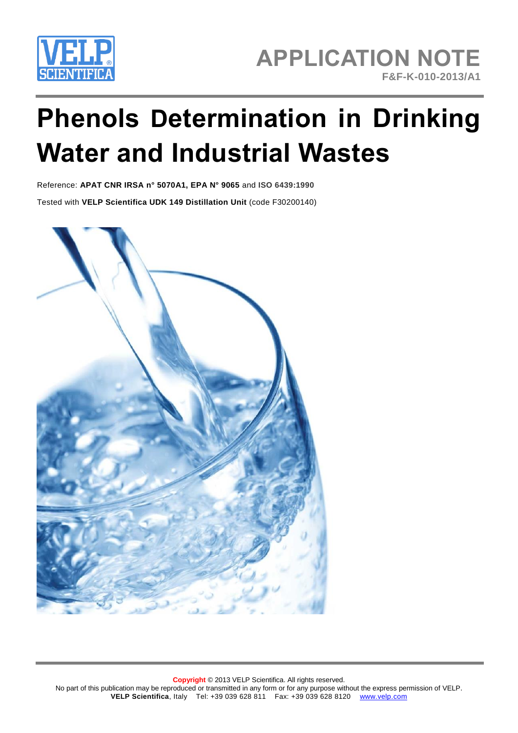

# **Phenols Determination in Drinking Water and Industrial Wastes**

Reference: **APAT CNR IRSA n° 5070A1, EPA N° 9065** and **ISO 6439:1990** Tested with **VELP Scientifica UDK 149 Distillation Unit** (code F30200140)

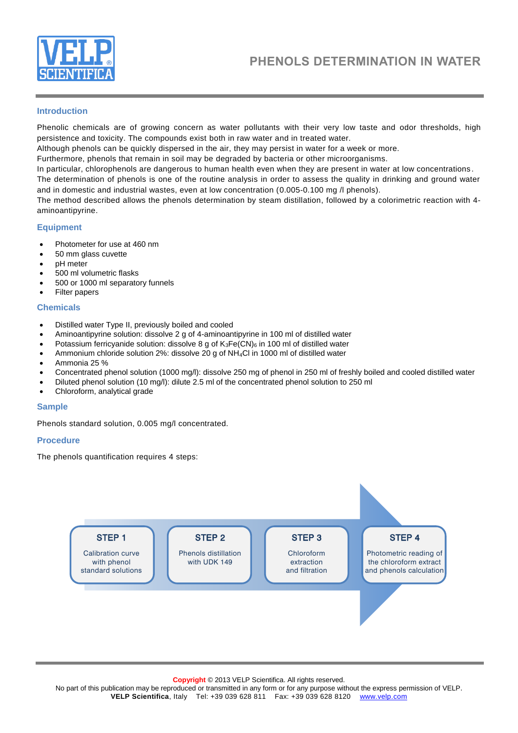

# **Introduction**

Phenolic chemicals are of growing concern as water pollutants with their very low taste and odor thresholds, high persistence and toxicity. The compounds exist both in raw water and in treated water.

Although phenols can be quickly dispersed in the air, they may persist in water for a week or more.

Furthermore, phenols that remain in soil may be degraded by bacteria or other microorganisms.

In particular, chlorophenols are dangerous to human health even when they are present in water at low concentrations .

The determination of phenols is one of the routine analysis in order to assess the quality in drinking and ground water and in domestic and industrial wastes, even at low concentration (0.005-0.100 mg /l phenols).

The method described allows the phenols determination by steam distillation, followed by a colorimetric reaction with 4 aminoantipyrine.

#### **Equipment**

- Photometer for use at 460 nm
- 50 mm glass cuvette
- pH meter
- 500 ml volumetric flasks
- 500 or 1000 ml separatory funnels
- Filter papers

#### **Chemicals**

- Distilled water Type II, previously boiled and cooled
- Aminoantipyrine solution: dissolve 2 g of 4-aminoantipyrine in 100 ml of distilled water
- Potassium ferricyanide solution: dissolve 8 g of  $K_3Fe(CN)_6$  in 100 ml of distilled water
- Ammonium chloride solution 2%: dissolve 20 g of NH4Cl in 1000 ml of distilled water
- Ammonia 25 %
- Concentrated phenol solution (1000 mg/l): dissolve 250 mg of phenol in 250 ml of freshly boiled and cooled distilled water
- Diluted phenol solution (10 mg/l): dilute 2.5 ml of the concentrated phenol solution to 250 ml
- Chloroform, analytical grade

#### **Sample**

Phenols standard solution, 0.005 mg/l concentrated.

#### **Procedure**

The phenols quantification requires 4 steps:



**Copyright** © 2013 VELP Scientifica. All rights reserved.

No part of this publication may be reproduced or transmitted in any form or for any purpose without the express permission of VELP. **VELP Scientifica**, Italy Tel: +39 039 628 811 Fax: +39 039 628 8120 www.velp.com